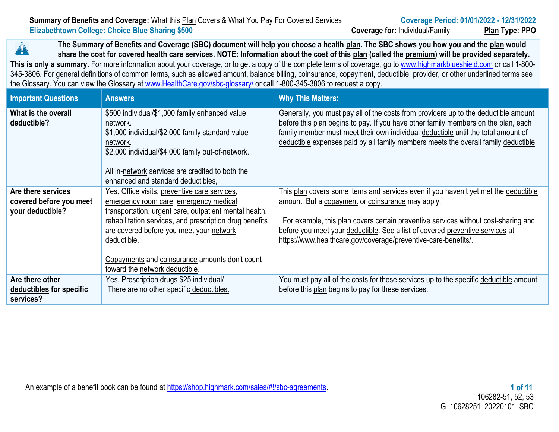|                                                  | Summary of Benefits and Coverage: What this Plan Covers & What You Pay For Covered Services |
|--------------------------------------------------|---------------------------------------------------------------------------------------------|
| Elizabethtown College: Choice Blue Sharing \$500 |                                                                                             |

**The Summary of Benefits and Coverage (SBC) document will help you choose a health plan. The SBC shows you how you and the plan would**   $\blacktriangle$ **share the cost for covered health care services. NOTE: Information about the cost of this plan (called the premium) will be provided separately.** This is only a summary. For more information about your coverage, or to get a copy of the complete terms of coverage, go to [www.highmarkblueshield.com](http://www.highmarkblueshield.com/) or call 1-800-345-3806. For general definitions of common terms, such as allowed amount, balance billing, coinsurance, copayment, deductible, provider, or other underlined terms see the Glossary. You can view the Glossary at [www.HealthCare.gov/sbc-glossary/](http://www.healthcare.gov/sbc-glossary/) or call 1-800-345-3806 to request a copy.

| <b>Important Questions</b>                                        | <b>Answers</b>                                                                                                                                                                                                                                                                                                                                              | <b>Why This Matters:</b>                                                                                                                                                                                                                                                                                                                                                          |  |  |  |
|-------------------------------------------------------------------|-------------------------------------------------------------------------------------------------------------------------------------------------------------------------------------------------------------------------------------------------------------------------------------------------------------------------------------------------------------|-----------------------------------------------------------------------------------------------------------------------------------------------------------------------------------------------------------------------------------------------------------------------------------------------------------------------------------------------------------------------------------|--|--|--|
| What is the overall<br>deductible?                                | \$500 individual/\$1,000 family enhanced value<br>network.<br>\$1,000 individual/\$2,000 family standard value<br>network.<br>\$2,000 individual/\$4,000 family out-of-network.<br>All in-network services are credited to both the<br>enhanced and standard deductibles,                                                                                   | Generally, you must pay all of the costs from providers up to the deductible amount<br>before this plan begins to pay. If you have other family members on the plan, each<br>family member must meet their own individual deductible until the total amount of<br>deductible expenses paid by all family members meets the overall family deductible.                             |  |  |  |
| Are there services<br>covered before you meet<br>your deductible? | Yes. Office visits, preventive care services,<br>emergency room care, emergency medical<br>transportation, urgent care, outpatient mental health,<br>rehabilitation services, and prescription drug benefits<br>are covered before you meet your network<br>deductible.<br>Copayments and coinsurance amounts don't count<br>toward the network deductible. | This plan covers some items and services even if you haven't yet met the deductible<br>amount. But a copayment or coinsurance may apply.<br>For example, this plan covers certain preventive services without cost-sharing and<br>before you meet your deductible. See a list of covered preventive services at<br>https://www.healthcare.gov/coverage/preventive-care-benefits/. |  |  |  |
| Are there other<br>deductibles for specific<br>services?          | Yes. Prescription drugs \$25 individual/<br>There are no other specific deductibles.                                                                                                                                                                                                                                                                        | You must pay all of the costs for these services up to the specific deductible amount<br>before this plan begins to pay for these services.                                                                                                                                                                                                                                       |  |  |  |

An example of a benefit book can be found at [https://shop.highmark.com/sales/#!/sbc-agreements.](../AppData/Local/Temp/b7658dea-d74b-4204-beae-8cde6c7fb770/https%3A%2F%2Fshop.highmark.com%2Fsales%23%21%2Fsbc-agreements) **1 of 11**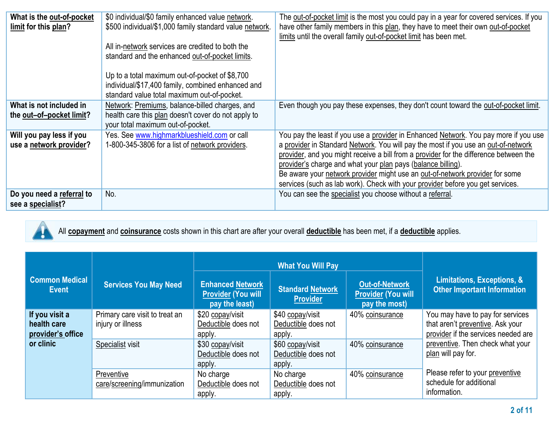| What is the out-of-pocket<br>limit for this plan?   | \$0 individual/\$0 family enhanced value network.<br>\$500 individual/\$1,000 family standard value network.<br>All in-network services are credited to both the<br>standard and the enhanced out-of-pocket limits.<br>Up to a total maximum out-of-pocket of \$8,700<br>individual/\$17,400 family, combined enhanced and<br>standard value total maximum out-of-pocket. | The out-of-pocket limit is the most you could pay in a year for covered services. If you<br>have other family members in this plan, they have to meet their own out-of-pocket<br>limits until the overall family out-of-pocket limit has been met.                                                                                                                                                                                                                                                    |
|-----------------------------------------------------|---------------------------------------------------------------------------------------------------------------------------------------------------------------------------------------------------------------------------------------------------------------------------------------------------------------------------------------------------------------------------|-------------------------------------------------------------------------------------------------------------------------------------------------------------------------------------------------------------------------------------------------------------------------------------------------------------------------------------------------------------------------------------------------------------------------------------------------------------------------------------------------------|
| What is not included in<br>the out-of-pocket limit? | Network: Premiums, balance-billed charges, and<br>health care this plan doesn't cover do not apply to<br>your total maximum out-of-pocket.                                                                                                                                                                                                                                | Even though you pay these expenses, they don't count toward the out-of-pocket limit.                                                                                                                                                                                                                                                                                                                                                                                                                  |
| Will you pay less if you<br>use a network provider? | Yes. See www.highmarkblueshield.com or call<br>1-800-345-3806 for a list of network providers.                                                                                                                                                                                                                                                                            | You pay the least if you use a provider in Enhanced Network. You pay more if you use<br>a provider in Standard Network. You will pay the most if you use an out-of-network<br>provider, and you might receive a bill from a provider for the difference between the<br>provider's charge and what your plan pays (balance billing).<br>Be aware your network provider might use an out-of-network provider for some<br>services (such as lab work). Check with your provider before you get services. |
| Do you need a referral to<br>see a specialist?      | No.                                                                                                                                                                                                                                                                                                                                                                       | You can see the specialist you choose without a referral.                                                                                                                                                                                                                                                                                                                                                                                                                                             |



All **copayment** and **coinsurance** costs shown in this chart are after your overall **deductible** has been met, if a **deductible** applies.

| <b>Common Medical</b><br><b>Event</b>              | <b>Services You May Need</b>                        | <b>Enhanced Network</b><br><b>Provider (You will</b><br>pay the least) | <b>Standard Network</b><br><b>Provider</b>        | <b>Out-of-Network</b><br><b>Provider (You will</b><br>pay the most) | Limitations, Exceptions, &<br><b>Other Important Information</b>                                            |
|----------------------------------------------------|-----------------------------------------------------|------------------------------------------------------------------------|---------------------------------------------------|---------------------------------------------------------------------|-------------------------------------------------------------------------------------------------------------|
| If you visit a<br>health care<br>provider's office | Primary care visit to treat an<br>injury or illness | \$20 copay/visit<br>Deductible does not<br>apply.                      | \$40 copay/visit<br>Deductible does not<br>apply. | 40% coinsurance                                                     | You may have to pay for services<br>that aren't preventive. Ask your<br>provider if the services needed are |
| or clinic                                          | Specialist visit                                    | \$30 copay/visit<br>Deductible does not<br>apply.                      | \$60 copay/visit<br>Deductible does not<br>apply. | 40% coinsurance                                                     | preventive. Then check what your<br>plan will pay for.                                                      |
|                                                    | Preventive<br>care/screening/immunization           | No charge<br>Deductible does not<br>apply.                             | No charge<br>Deductible does not<br>apply.        | 40% coinsurance                                                     | Please refer to your preventive<br>schedule for additional<br>information.                                  |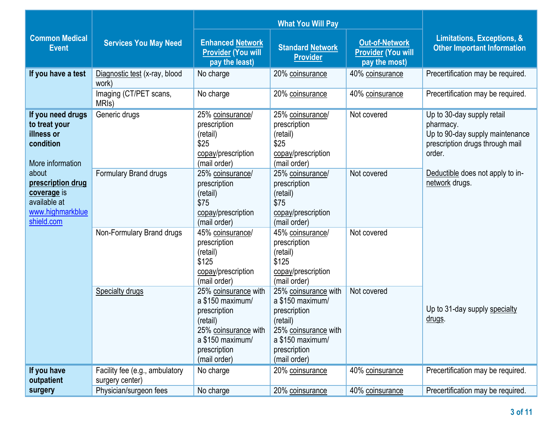| <b>Common Medical</b><br><b>Event</b>                                                       | <b>Services You May Need</b>                      | <b>Enhanced Network</b><br><b>Provider (You will</b><br>pay the least)                                                                           | <b>Standard Network</b><br><b>Provider</b>                                                                                                       | Out-of-Network<br><b>Provider (You will</b><br>pay the most) | <b>Limitations, Exceptions, &amp;</b><br><b>Other Important Information</b>                                             |
|---------------------------------------------------------------------------------------------|---------------------------------------------------|--------------------------------------------------------------------------------------------------------------------------------------------------|--------------------------------------------------------------------------------------------------------------------------------------------------|--------------------------------------------------------------|-------------------------------------------------------------------------------------------------------------------------|
| If you have a test                                                                          | Diagnostic test (x-ray, blood<br>work)            | No charge                                                                                                                                        | 20% coinsurance                                                                                                                                  | 40% coinsurance                                              | Precertification may be required.                                                                                       |
|                                                                                             | Imaging (CT/PET scans,<br>MRI <sub>s</sub> )      | No charge                                                                                                                                        | 20% coinsurance                                                                                                                                  | 40% coinsurance                                              | Precertification may be required.                                                                                       |
| If you need drugs<br>to treat your<br>illness or<br>condition<br>More information           | Generic drugs                                     | 25% coinsurance/<br>prescription<br>(retail)<br>\$25<br>copay/prescription<br>(mail order)                                                       | 25% coinsurance/<br>prescription<br>(retail)<br>\$25<br>copay/prescription<br>(mail order)                                                       | Not covered                                                  | Up to 30-day supply retail<br>pharmacy.<br>Up to 90-day supply maintenance<br>prescription drugs through mail<br>order. |
| about<br>prescription drug<br>coverage is<br>available at<br>www.highmarkblue<br>shield.com | Formulary Brand drugs                             | 25% coinsurance/<br>prescription<br>(retail)<br>\$75<br>copay/prescription<br>(mail order)                                                       | 25% coinsurance/<br>prescription<br>(retail)<br>\$75<br>copay/prescription<br>(mail order)                                                       | Not covered                                                  | Deductible does not apply to in-<br>network drugs.                                                                      |
|                                                                                             | Non-Formulary Brand drugs                         | 45% coinsurance/<br>prescription<br>(retail)<br>\$125<br>copay/prescription<br>(mail order)                                                      | 45% coinsurance/<br>prescription<br>(retail)<br>\$125<br>copay/prescription<br>(mail order)                                                      | Not covered                                                  |                                                                                                                         |
|                                                                                             | <b>Specialty drugs</b>                            | 25% coinsurance with<br>a \$150 maximum/<br>prescription<br>(retail)<br>25% coinsurance with<br>a \$150 maximum/<br>prescription<br>(mail order) | 25% coinsurance with<br>a \$150 maximum/<br>prescription<br>(retail)<br>25% coinsurance with<br>a \$150 maximum/<br>prescription<br>(mail order) | Not covered                                                  | Up to 31-day supply specialty<br>drugs.                                                                                 |
| If you have<br>outpatient                                                                   | Facility fee (e.g., ambulatory<br>surgery center) | No charge                                                                                                                                        | 20% coinsurance                                                                                                                                  | 40% coinsurance                                              | Precertification may be required.                                                                                       |
| surgery                                                                                     | Physician/surgeon fees                            | No charge                                                                                                                                        | 20% coinsurance                                                                                                                                  | 40% coinsurance                                              | Precertification may be required.                                                                                       |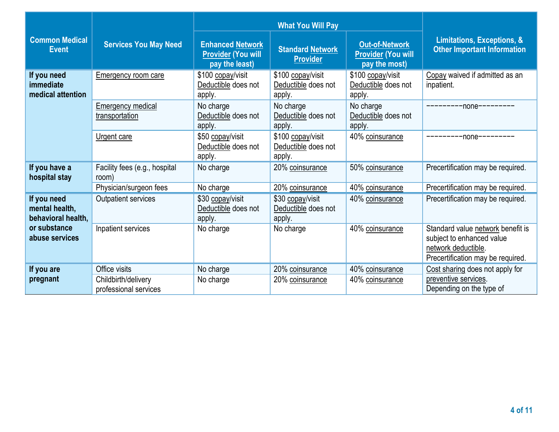| <b>Common Medical</b><br><b>Event</b>               | <b>Services You May Need</b>                 | <b>Enhanced Network</b><br><b>Provider (You will</b><br>pay the least) | <b>Standard Network</b><br><b>Provider</b>         | <b>Out-of-Network</b><br><b>Provider (You will</b><br>pay the most) | Limitations, Exceptions, &<br><b>Other Important Information</b>                                                           |  |
|-----------------------------------------------------|----------------------------------------------|------------------------------------------------------------------------|----------------------------------------------------|---------------------------------------------------------------------|----------------------------------------------------------------------------------------------------------------------------|--|
| If you need<br>immediate<br>medical attention       | Emergency room care                          | \$100 copay/visit<br>Deductible does not<br>apply.                     | \$100 copay/visit<br>Deductible does not<br>apply. | \$100 copay/visit<br>Deductible does not<br>apply.                  | Copay waived if admitted as an<br>inpatient.                                                                               |  |
|                                                     | <b>Emergency medical</b><br>transportation   | No charge<br>Deductible does not<br>apply.                             | No charge<br>Deductible does not<br>apply.         | No charge<br>Deductible does not<br>apply.                          | $-$ none $-$ --------                                                                                                      |  |
|                                                     | Urgent care                                  | \$50 copay/visit<br>Deductible does not<br>apply.                      | \$100 copay/visit<br>Deductible does not<br>apply. | 40% coinsurance                                                     | $-$ none $-$ -------                                                                                                       |  |
| If you have a<br>hospital stay                      | Facility fees (e.g., hospital<br>room)       | No charge                                                              | 20% coinsurance                                    | 50% coinsurance                                                     | Precertification may be required.                                                                                          |  |
|                                                     | Physician/surgeon fees                       | No charge                                                              | 20% coinsurance                                    | 40% coinsurance                                                     | Precertification may be required.                                                                                          |  |
| If you need<br>mental health,<br>behavioral health, | <b>Outpatient services</b>                   | \$30 copay/visit<br>Deductible does not<br>apply.                      | \$30 copay/visit<br>Deductible does not<br>apply.  | 40% coinsurance                                                     | Precertification may be required.                                                                                          |  |
| or substance<br>abuse services                      | Inpatient services                           | No charge                                                              | No charge                                          | 40% coinsurance                                                     | Standard value network benefit is<br>subject to enhanced value<br>network deductible.<br>Precertification may be required. |  |
| If you are                                          | Office visits                                | No charge                                                              | 20% coinsurance                                    | 40% coinsurance                                                     | Cost sharing does not apply for                                                                                            |  |
| pregnant                                            | Childbirth/delivery<br>professional services | No charge                                                              | 20% coinsurance                                    | 40% coinsurance                                                     | preventive services.<br>Depending on the type of                                                                           |  |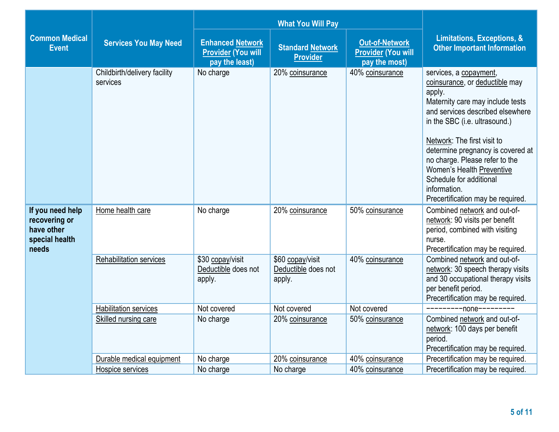|                                                                            |                                          |                                                                        | <b>What You Will Pay</b>                                                                                          |                 |                                                                                                                                                                                                                                                                                                                                                                                                |  |
|----------------------------------------------------------------------------|------------------------------------------|------------------------------------------------------------------------|-------------------------------------------------------------------------------------------------------------------|-----------------|------------------------------------------------------------------------------------------------------------------------------------------------------------------------------------------------------------------------------------------------------------------------------------------------------------------------------------------------------------------------------------------------|--|
| <b>Common Medical</b><br><b>Event</b>                                      | <b>Services You May Need</b>             | <b>Enhanced Network</b><br><b>Provider (You will</b><br>pay the least) | <b>Out-of-Network</b><br><b>Standard Network</b><br><b>Provider (You will</b><br><b>Provider</b><br>pay the most) |                 | <b>Limitations, Exceptions, &amp;</b><br><b>Other Important Information</b>                                                                                                                                                                                                                                                                                                                    |  |
|                                                                            | Childbirth/delivery facility<br>services | No charge                                                              | 20% coinsurance                                                                                                   | 40% coinsurance | services, a copayment,<br>coinsurance, or deductible may<br>apply.<br>Maternity care may include tests<br>and services described elsewhere<br>in the SBC (i.e. ultrasound.)<br>Network: The first visit to<br>determine pregnancy is covered at<br>no charge. Please refer to the<br>Women's Health Preventive<br>Schedule for additional<br>information.<br>Precertification may be required. |  |
| If you need help<br>recovering or<br>have other<br>special health<br>needs | Home health care                         | No charge                                                              | 20% coinsurance                                                                                                   | 50% coinsurance | Combined network and out-of-<br>network: 90 visits per benefit<br>period, combined with visiting<br>nurse.<br>Precertification may be required.                                                                                                                                                                                                                                                |  |
|                                                                            | <b>Rehabilitation services</b>           | \$30 copay/visit<br>Deductible does not<br>apply.                      | \$60 copay/visit<br>Deductible does not<br>apply.                                                                 | 40% coinsurance | Combined network and out-of-<br>network: 30 speech therapy visits<br>and 30 occupational therapy visits<br>per benefit period.<br>Precertification may be required.                                                                                                                                                                                                                            |  |
|                                                                            | <b>Habilitation services</b>             | Not covered                                                            | Not covered                                                                                                       | Not covered     | -none--                                                                                                                                                                                                                                                                                                                                                                                        |  |
|                                                                            | Skilled nursing care                     | No charge                                                              | 20% coinsurance                                                                                                   | 50% coinsurance | Combined network and out-of-<br>network: 100 days per benefit<br>period.<br>Precertification may be required.                                                                                                                                                                                                                                                                                  |  |
|                                                                            | Durable medical equipment                | No charge                                                              | 20% coinsurance                                                                                                   | 40% coinsurance | Precertification may be required.                                                                                                                                                                                                                                                                                                                                                              |  |
|                                                                            | Hospice services                         | No charge                                                              | No charge                                                                                                         | 40% coinsurance | Precertification may be required.                                                                                                                                                                                                                                                                                                                                                              |  |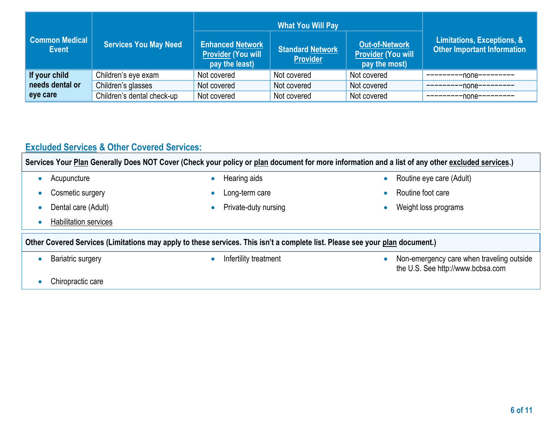| Common Medical<br><b>Event</b> | <b>Services You May Need</b> | <b>Enhanced Network</b><br><b>Provider (You will</b><br>pay the least) | <b>What You Will Pay</b><br><b>Standard Network</b><br><b>Provider</b> | <b>Out-of-Network</b><br><b>Provider (You will</b><br>pay the most) | Limitations, Exceptions, &<br><b>Other Important Information</b> |
|--------------------------------|------------------------------|------------------------------------------------------------------------|------------------------------------------------------------------------|---------------------------------------------------------------------|------------------------------------------------------------------|
| If your child                  | Children's eye exam          | Not covered                                                            | Not covered                                                            | Not covered                                                         | $-none-----$                                                     |
| needs dental or                | Children's glasses           | Not covered                                                            | Not covered                                                            | Not covered                                                         | -none---------                                                   |
| eye care                       | Children's dental check-up   | Not covered                                                            | Not covered                                                            | Not covered                                                         | -none---------                                                   |

## **Excluded Services & Other Covered Services:**

**Services Your Plan Generally Does NOT Cover (Check your policy or plan document for more information and a list of any other excluded services.)**

| Acupuncture              | $\bullet$ | Hearing aids          | $\bullet$                                                                                                                    | Routine eye care (Adult)                                                       |  |  |  |  |
|--------------------------|-----------|-----------------------|------------------------------------------------------------------------------------------------------------------------------|--------------------------------------------------------------------------------|--|--|--|--|
| Cosmetic surgery         |           | Long-term care        |                                                                                                                              | Routine foot care                                                              |  |  |  |  |
| Dental care (Adult)      |           | Private-duty nursing  |                                                                                                                              | Weight loss programs                                                           |  |  |  |  |
| Habilitation services    |           |                       |                                                                                                                              |                                                                                |  |  |  |  |
|                          |           |                       | Other Covered Services (Limitations may apply to these services. This isn't a complete list. Please see your plan document.) |                                                                                |  |  |  |  |
|                          |           |                       |                                                                                                                              |                                                                                |  |  |  |  |
| <b>Bariatric surgery</b> |           | Infertility treatment |                                                                                                                              | Non-emergency care when traveling outside<br>the U.S. See http://www.bcbsa.com |  |  |  |  |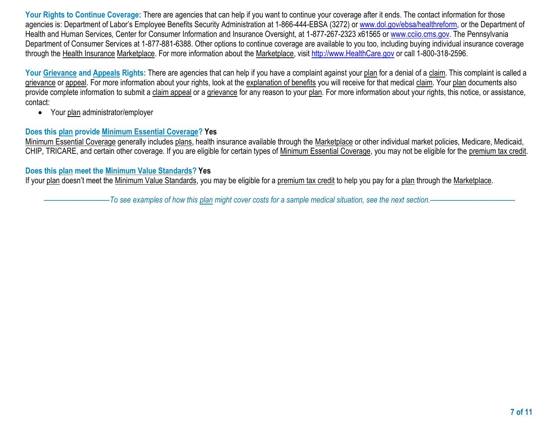**Your Rights to Continue Coverage:** There are agencies that can help if you want to continue your coverage after it ends. The contact information for those agencies is: Department of Labor's Employee Benefits Security Administration at 1-866-444-EBSA (3272) o[r www.dol.gov/ebsa/healthreform,](http://www.dol.gov/ebsa/healthreform) or the Department of Health and Human Services, Center for Consumer Information and Insurance Oversight, at 1-877-267-2323 x61565 or [www.cciio.cms.gov.](http://www.cciio.cms.gov/) The Pennsylvania Department of Consumer Services at 1-877-881-6388. Other options to continue coverage are available to you too, including buying individual insurance coverage through the Health Insurance Marketplace. For more information about the Marketplace, visit [http://www.HealthCare.gov](http://www.healthcare.gov/) or call 1-800-318-2596.

**Your Grievance and Appeals Rights:** There are agencies that can help if you have a complaint against your plan for a denial of a claim. This complaint is called a grievance or appeal. For more information about your rights, look at the explanation of benefits you will receive for that medical claim. Your plan documents also provide complete information to submit a claim appeal or a grievance for any reason to your plan. For more information about your rights, this notice, or assistance, contact:

• Your plan administrator/employer

## **Does this plan provide Minimum Essential Coverage? Yes**

Minimum Essential Coverage generally includes plans, health insurance available through the Marketplace or other individual market policies, Medicare, Medicaid, CHIP, TRICARE, and certain other coverage. If you are eligible for certain types of Minimum Essential Coverage, you may not be eligible for the premium tax credit.

## **Does this plan meet the Minimum Value Standards? Yes**

If your plan doesn't meet the Minimum Value Standards, you may be eligible for a premium tax credit to help you pay for a plan through the Marketplace.

–––––––––––––––––*To see examples of how this plan might cover costs for a sample medical situation, see the next section.–––––––––––*–––––––––––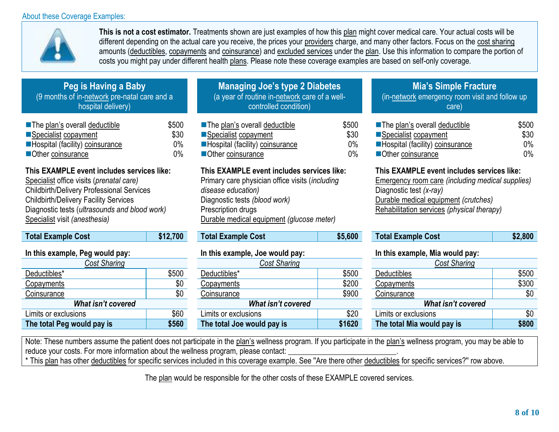## About these Coverage Examples:



**This is not a cost estimator.** Treatments shown are just examples of how this plan might cover medical care. Your actual costs will be different depending on the actual care you receive, the prices your providers charge, and many other factors. Focus on the cost sharing amounts (deductibles, copayments and coinsurance) and excluded services under the plan. Use this information to compare the portion of costs you might pay under different health plans. Please note these coverage examples are based on self-only coverage.

| Peg is Having a Baby                         |  |
|----------------------------------------------|--|
| (9 months of in-network pre-natal care and a |  |
| hospital delivery)                           |  |

| <b>The plan's overall deductible</b> | \$500 |
|--------------------------------------|-------|
| ■Specialist copayment                | \$30  |
| Hospital (facility) coinsurance      | $0\%$ |
| Other coinsurance                    | $0\%$ |

## **This EXAMPLE event includes services like:**

Specialist office visits (*prenatal care)*  Childbirth/Delivery Professional Services Childbirth/Delivery Facility Services Diagnostic tests (*ultrasounds and blood work)*  Specialist visit *(anesthesia)*

| <b>Total Example Cost</b>       | \$12,700 |  |  |  |  |
|---------------------------------|----------|--|--|--|--|
| In this example, Peg would pay: |          |  |  |  |  |
| <b>Cost Sharing</b>             |          |  |  |  |  |
| Deductibles*                    | \$500    |  |  |  |  |
| Copayments                      | \$0      |  |  |  |  |
| Coinsurance                     | \$0      |  |  |  |  |
| <b>What isn't covered</b>       |          |  |  |  |  |
| Limits or exclusions            | \$60     |  |  |  |  |
| The total Pen would nay is      | \$560    |  |  |  |  |

| <b>Managing Joe's type 2 Diabetes</b>         |
|-----------------------------------------------|
| (a year of routine in-network care of a well- |
| controlled condition)                         |

| ■ The plan's overall deductible | \$500 |
|---------------------------------|-------|
| ■Specialist copayment           | \$30  |
| Hospital (facility) coinsurance | $0\%$ |
| Other coinsurance               | $0\%$ |

## **This EXAMPLE event includes services like:**

Primary care physician office visits (*including disease education)*  Diagnostic tests *(blood work)* Prescription drugs Durable medical equipment *(glucose meter)*

| \$5,6<br><b>Total Example Cost</b> |
|------------------------------------|
|------------------------------------|

# **In this example, Peg would pay: In this example, Joe would pay: In this example, Mia would pay:**

| Cost Sharing               |       | Cost Sharing<br>Cost Sharing |        |                            |       |
|----------------------------|-------|------------------------------|--------|----------------------------|-------|
| Deductibles*               | \$500 | Deductibles*                 | \$500  | <b>Deductibles</b>         | \$500 |
| <b>Copayments</b>          | \$0   | Copayments                   | \$200  | <u>Copayments</u>          | \$300 |
| Coinsurance                | \$0   | Coinsurance                  | \$900  | Coinsurance                | \$0   |
| What isn't covered         |       | What isn't covered           |        | What isn't covered         |       |
| Limits or exclusions       | \$60  | Limits or exclusions         | \$20   | Limits or exclusions       | \$0   |
| The total Peg would pay is | \$560 | The total Joe would pay is   | \$1620 | The total Mia would pay is | \$800 |
|                            |       |                              |        |                            |       |

## **Mia's Simple Fracture**

(in-network emergency room visit and follow up care)

| ■ The plan's overall deductible | \$500 |
|---------------------------------|-------|
| ■Specialist copayment           | \$30  |
| Hospital (facility) coinsurance | $0\%$ |
| Other coinsurance               | $0\%$ |

## **This EXAMPLE event includes services like:**

Emergency room care *(including medical supplies)*  Diagnostic test *(x-ray)* Durable medical equipment *(crutches)* Rehabilitation services *(physical therapy)*

|  | Total Example Cost | \$12,700 | Example Cost<br>Total I | \$5,600 | Cost<br>Total Example | .,800 |
|--|--------------------|----------|-------------------------|---------|-----------------------|-------|
|--|--------------------|----------|-------------------------|---------|-----------------------|-------|

| <b>Cost Sharing</b>        |       |  |  |
|----------------------------|-------|--|--|
| <b>Deductibles</b>         | \$500 |  |  |
| Copayments                 | \$300 |  |  |
| Coinsurance                | \$0   |  |  |
| What isn't covered         |       |  |  |
| Limits or exclusions       | \$0   |  |  |
| The total Mia would pay is | \$800 |  |  |

Note: These numbers assume the patient does not participate in the plan's wellness program. If you participate in the plan's wellness program, you may be able to reduce your costs. For more information about the wellness program, please contact:

\* This plan has other deductibles for specific services included in this coverage example. See ''Are there other deductibles for specific services?'' row above.

The plan would be responsible for the other costs of these EXAMPLE covered services.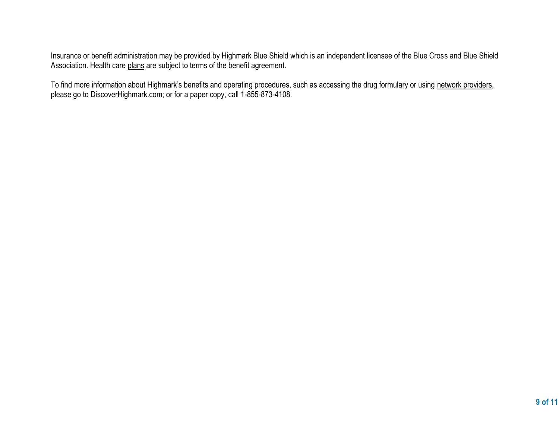Insurance or benefit administration may be provided by Highmark Blue Shield which is an independent licensee of the Blue Cross and Blue Shield Association. Health care plans are subject to terms of the benefit agreement.

To find more information about Highmark's benefits and operating procedures, such as accessing the drug formulary or using network providers, please go to DiscoverHighmark.com; or for a paper copy, call 1-855-873-4108.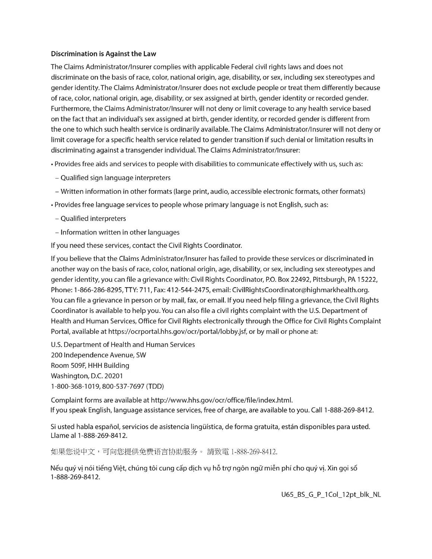#### **Discrimination is Against the Law**

The Claims Administrator/Insurer complies with applicable Federal civil rights laws and does not discriminate on the basis of race, color, national origin, age, disability, or sex, including sex stereotypes and gender identity. The Claims Administrator/Insurer does not exclude people or treat them differently because of race, color, national origin, age, disability, or sex assigned at birth, gender identity or recorded gender. Furthermore, the Claims Administrator/Insurer will not deny or limit coverage to any health service based on the fact that an individual's sex assigned at birth, gender identity, or recorded gender is different from the one to which such health service is ordinarily available. The Claims Administrator/Insurer will not deny or limit coverage for a specific health service related to gender transition if such denial or limitation results in discriminating against a transgender individual. The Claims Administrator/Insurer:

- Provides free aids and services to people with disabilities to communicate effectively with us, such as:
- Qualified sign language interpreters
- Written information in other formats (large print, audio, accessible electronic formats, other formats)
- Provides free language services to people whose primary language is not English, such as:
- Qualified interpreters
- Information written in other languages

If you need these services, contact the Civil Rights Coordinator.

If you believe that the Claims Administrator/Insurer has failed to provide these services or discriminated in another way on the basis of race, color, national origin, age, disability, or sex, including sex stereotypes and gender identity, you can file a grievance with: Civil Rights Coordinator, P.O. Box 22492, Pittsburgh, PA 15222, Phone: 1-866-286-8295, TTY: 711, Fax: 412-544-2475, email: CivilRightsCoordinator@highmarkhealth.org. You can file a grievance in person or by mail, fax, or email. If you need help filing a grievance, the Civil Rights Coordinator is available to help you. You can also file a civil rights complaint with the U.S. Department of Health and Human Services, Office for Civil Rights electronically through the Office for Civil Rights Complaint Portal, available at https://ocrportal.hhs.gov/ocr/portal/lobby.jsf, or by mail or phone at:

U.S. Department of Health and Human Services 200 Independence Avenue, SW Room 509F, HHH Building Washington, D.C. 20201 1-800-368-1019, 800-537-7697 (TDD)

Complaint forms are available at http://www.hhs.gov/ocr/office/file/index.html. If you speak English, language assistance services, free of charge, are available to you. Call 1-888-269-8412.

Si usted habla español, servicios de asistencia lingüística, de forma gratuita, están disponibles para usted. Llame al 1-888-269-8412.

如果您说中文,可向您提供免费语言协助服务。 請致電 1-888-269-8412.

Nếu quý vị nói tiếng Việt, chúng tôi cung cấp dịch vụ hỗ trợ ngôn ngữ miễn phí cho quý vị. Xin gọi số 1-888-269-8412.

U65\_BS\_G\_P\_1Col\_12pt\_blk\_NL